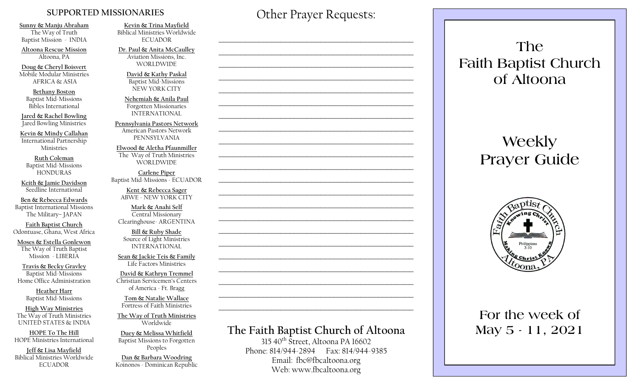#### **SUPPORTED MISSIONARIES**

**Sunny & Manju Abraham**  The Way of Truth Baptist Mission - INDIA

**Altoona Rescue Mission** Altoona, PA

**Doug & Cheryl Boisvert** Mobile Modular Ministries AFRICA & ASIA

**Bethany Boston** Baptist Mid-Missions Bibles International

**Jared & Rachel Bowling** Jared Bowling Ministries

**Kevin & Mindy Callahan** International Partnership Ministries

**Ruth Coleman** Baptist Mid-Missions HONDURAS

**Keith & Jamie Davidson** Seedline International

**Ben & Rebecca Edwards** Baptist International Missions The Military– JAPAN

**Faith Baptist Church** Odontuase, Ghana, West Africa

**Moses & Estella Gonlewon** The Way of Truth Baptist Mission - LIBERIA

**Travis & Becky Gravley**  Baptist Mid-Missions Home Office Administration

> **Heather Harr** Baptist Mid-Missions

**High Way Ministries** The Way of Truth Ministries UNITED STATES & INDIA

**HOPE To The Hill** HOPE Ministries International

**Jeff & Lisa Mayfield** Biblical Ministries Worldwide **ECUADOR** 

**Kevin & Trina Mayfield** Biblical Ministries Worldwide ECUADOR

**Dr. Paul & Anita McCaulley** Aviation Missions, Inc. WORLDWIDE

> **David & Kathy Paskal** Baptist Mid-Missions NEW YORK CITY

**Nehemiah & Anila Paul** Forgotten Missionaries INTERNATIONAL

**Pennsylvania Pastors Network** American Pastors Network PENNSYLVANIA

**Elwood & Aletha Pfaunmiller** The Way of Truth Ministries WORLDWIDE

**Carlene Piper** Baptist Mid-Missions - ECUADOR

> **Kent & Rebecca Sager** ABWE - NEW YORK CITY

**Mark & Anahi Self** Central Missionary Clearinghouse- ARGENTINA

**Bill & Ruby Shade** Source of Light Ministries INTERNATIONAL

**Sean & Jackie Teis & Family** Life Factors Ministries

**David & Kathryn Tremmel**  Christian Servicemen's Centers of America - Ft. Bragg

**Tom & Natalie Wallace** Fortress of Faith Ministries

**The Way of Truth Ministries**  Worldwide

**Duey & Melissa Whitfield** Baptist Missions to Forgotten Peoples

**Dan & Barbara Woodring**  Koinonos - Dominican Republic Other Prayer Requests:

 $\mathcal{L}_\text{max}$  and  $\mathcal{L}_\text{max}$  and  $\mathcal{L}_\text{max}$  and  $\mathcal{L}_\text{max}$  and  $\mathcal{L}_\text{max}$ 

 $\mathcal{L}_\text{max}$  , and the contract of the contract of the contract of the contract of the contract of the contract of the contract of the contract of the contract of the contract of the contract of the contract of the contr

 $\mathcal{L}_\text{max}$  and  $\mathcal{L}_\text{max}$  and  $\mathcal{L}_\text{max}$  and  $\mathcal{L}_\text{max}$  and  $\mathcal{L}_\text{max}$ 

 $\mathcal{L}_\text{max}$  and  $\mathcal{L}_\text{max}$  and  $\mathcal{L}_\text{max}$  and  $\mathcal{L}_\text{max}$  and  $\mathcal{L}_\text{max}$ 

 $\mathcal{L}_\text{max}$  , and the contract of the contract of the contract of the contract of the contract of the contract of the contract of the contract of the contract of the contract of the contract of the contract of the contr

# **The Faith Baptist Church of Altoona**   $315\,40^{th}$  Street, Altoona PA 16602  $\mathcal{L}_\text{max}$  , and the contract of the contract of the contract of the contract of the contract of the contract of the contract of the contract of the contract of the contract of the contract of the contract of the contr  $\mathcal{L}_\text{max}$  , and the contract of the contract of the contract of the contract of the contract of the contract of the contract of the contract of the contract of the contract of the contract of the contract of the contr  $\mathcal{L}_\text{max}$  and  $\mathcal{L}_\text{max}$  and  $\mathcal{L}_\text{max}$  and  $\mathcal{L}_\text{max}$  and  $\mathcal{L}_\text{max}$  $\mathcal{L}_\text{max}$  , and the contract of the contract of the contract of the contract of the contract of the contract of the contract of the contract of the contract of the contract of the contract of the contract of the contr  $\mathcal{L}_\text{max}$  , and the contract of the contract of the contract of the contract of the contract of the contract of the contract of the contract of the contract of the contract of the contract of the contract of the contr  $\mathcal{L}_\text{max}$  , and the contract of the contract of the contract of the contract of the contract of the contract of the contract of the contract of the contract of the contract of the contract of the contract of the contr  $\mathcal{L}_\text{max}$  , and the contract of the contract of the contract of the contract of the contract of the contract of the contract of the contract of the contract of the contract of the contract of the contract of the contr  $\mathcal{L}_\text{max}$  and  $\mathcal{L}_\text{max}$  and  $\mathcal{L}_\text{max}$  and  $\mathcal{L}_\text{max}$  and  $\mathcal{L}_\text{max}$  $\mathcal{L}_\text{max}$  , and the contract of the contract of the contract of the contract of the contract of the contract of the contract of the contract of the contract of the contract of the contract of the contract of the contr  $\mathcal{L}_\text{max}$  , and the contract of the contract of the contract of the contract of the contract of the contract of the contract of the contract of the contract of the contract of the contract of the contract of the contr

Phone: 814/944-2894 Fax: 814/944-9385 Email: fbc@fbcaltoona.org Web: www.fbcaltoona.org

## **The Faith Baptist Church of Altoona**

# **Weekly Prayer Guide**



## **For the week of May 5 - 11, 2021**